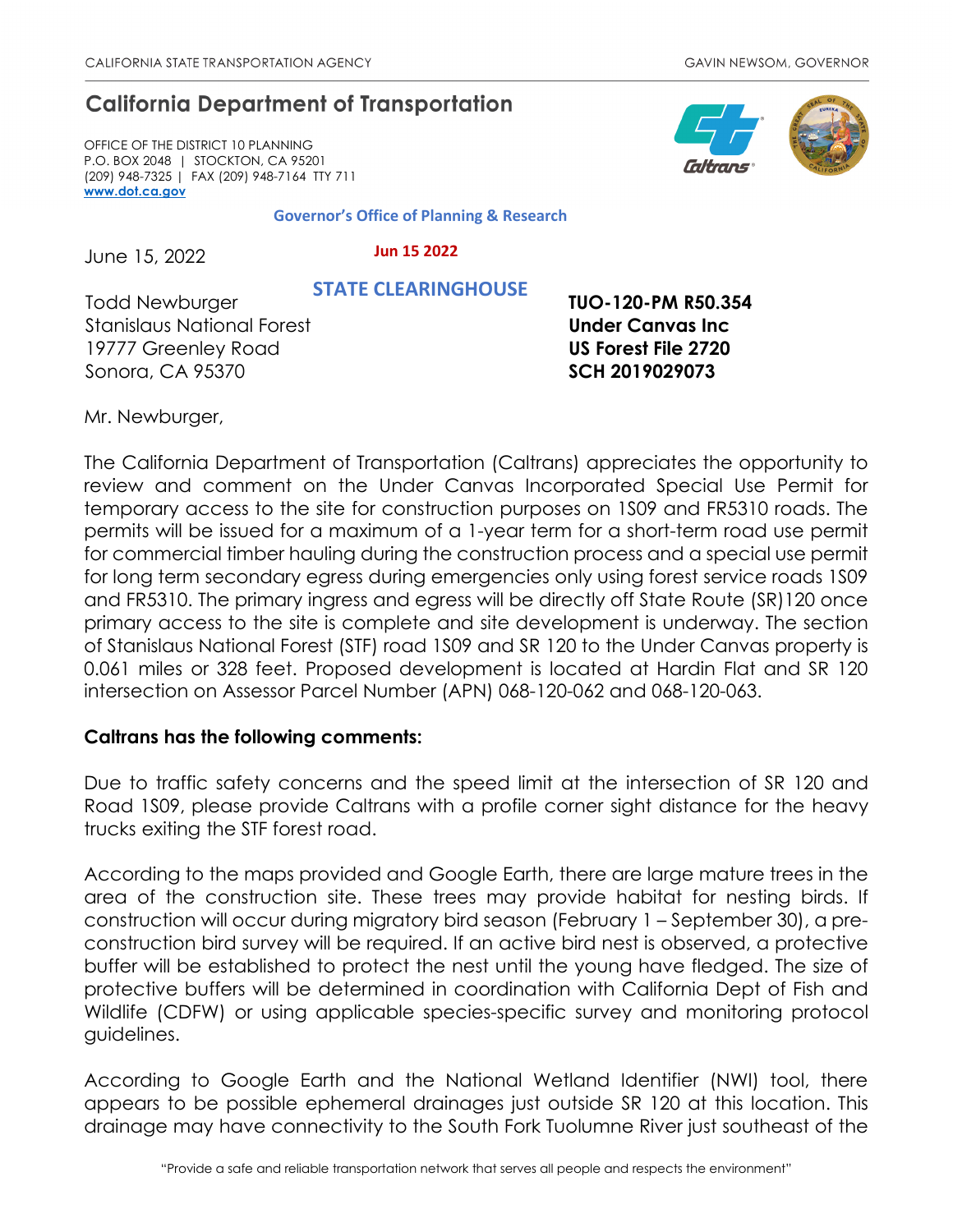## **California Department of Transportation**

OFFICE OF THE DISTRICT 10 PLANNING P.O. BOX 2048 | STOCKTON, CA 95201 (209) 948-7325 | FAX (209) 948-7164 TTY 711 **[www.dot.ca.gov](http://www.dot.ca.gov/)**

**Governor's Office of Planning & Research**

June 15, 2022

 **Jun 15 2022 STATE CLEARINGHOUSE**

Todd Newburger Stanislaus National Forest 19777 Greenley Road Sonora, CA 95370

**TUO-120-PM R50.354 Under Canvas Inc US Forest File 2720 SCH 2019029073**

Mr. Newburger,

The California Department of Transportation (Caltrans) appreciates the opportunity to review and comment on the Under Canvas Incorporated Special Use Permit for temporary access to the site for construction purposes on 1S09 and FR5310 roads. The permits will be issued for a maximum of a 1-year term for a short-term road use permit for commercial timber hauling during the construction process and a special use permit for long term secondary egress during emergencies only using forest service roads 1S09 and FR5310. The primary ingress and egress will be directly off State Route (SR)120 once primary access to the site is complete and site development is underway. The section of Stanislaus National Forest (STF) road 1S09 and SR 120 to the Under Canvas property is 0.061 miles or 328 feet. Proposed development is located at Hardin Flat and SR 120 intersection on Assessor Parcel Number (APN) 068-120-062 and 068-120-063.

## **Caltrans has the following comments:**

Due to traffic safety concerns and the speed limit at the intersection of SR 120 and Road 1S09, please provide Caltrans with a profile corner sight distance for the heavy trucks exiting the STF forest road.

According to the maps provided and Google Earth, there are large mature trees in the area of the construction site. These trees may provide habitat for nesting birds. If construction will occur during migratory bird season (February 1 – September 30), a preconstruction bird survey will be required. If an active bird nest is observed, a protective buffer will be established to protect the nest until the young have fledged. The size of protective buffers will be determined in coordination with California Dept of Fish and Wildlife (CDFW) or using applicable species-specific survey and monitoring protocol guidelines.

According to Google Earth and the National Wetland Identifier (NWI) tool, there appears to be possible ephemeral drainages just outside SR 120 at this location. This drainage may have connectivity to the South Fork Tuolumne River just southeast of the